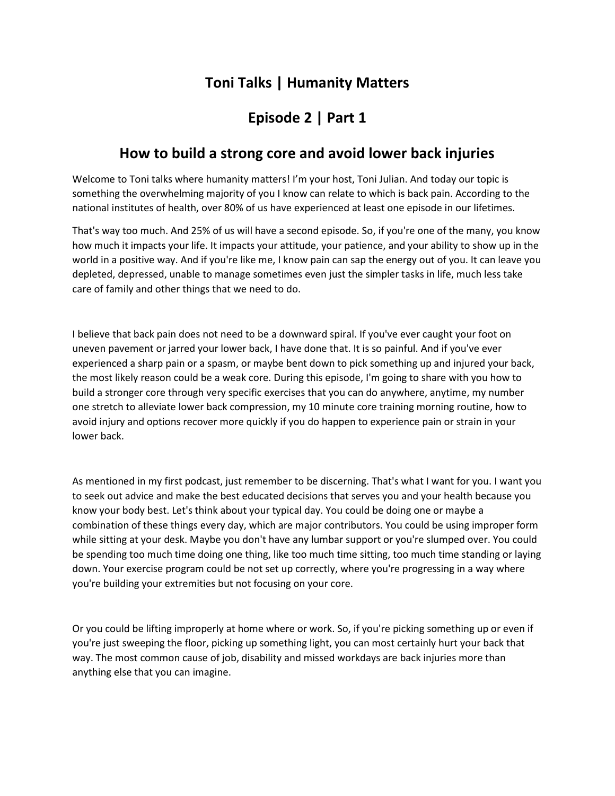## **Toni Talks | Humanity Matters**

## **Episode 2 | Part 1**

## **How to build a strong core and avoid lower back injuries**

Welcome to Toni talks where humanity matters! I'm your host, Toni Julian. And today our topic is something the overwhelming majority of you I know can relate to which is back pain. According to the national institutes of health, over 80% of us have experienced at least one episode in our lifetimes.

That's way too much. And 25% of us will have a second episode. So, if you're one of the many, you know how much it impacts your life. It impacts your attitude, your patience, and your ability to show up in the world in a positive way. And if you're like me, I know pain can sap the energy out of you. It can leave you depleted, depressed, unable to manage sometimes even just the simpler tasks in life, much less take care of family and other things that we need to do.

I believe that back pain does not need to be a downward spiral. If you've ever caught your foot on uneven pavement or jarred your lower back, I have done that. It is so painful. And if you've ever experienced a sharp pain or a spasm, or maybe bent down to pick something up and injured your back, the most likely reason could be a weak core. During this episode, I'm going to share with you how to build a stronger core through very specific exercises that you can do anywhere, anytime, my number one stretch to alleviate lower back compression, my 10 minute core training morning routine, how to avoid injury and options recover more quickly if you do happen to experience pain or strain in your lower back.

As mentioned in my first podcast, just remember to be discerning. That's what I want for you. I want you to seek out advice and make the best educated decisions that serves you and your health because you know your body best. Let's think about your typical day. You could be doing one or maybe a combination of these things every day, which are major contributors. You could be using improper form while sitting at your desk. Maybe you don't have any lumbar support or you're slumped over. You could be spending too much time doing one thing, like too much time sitting, too much time standing or laying down. Your exercise program could be not set up correctly, where you're progressing in a way where you're building your extremities but not focusing on your core.

Or you could be lifting improperly at home where or work. So, if you're picking something up or even if you're just sweeping the floor, picking up something light, you can most certainly hurt your back that way. The most common cause of job, disability and missed workdays are back injuries more than anything else that you can imagine.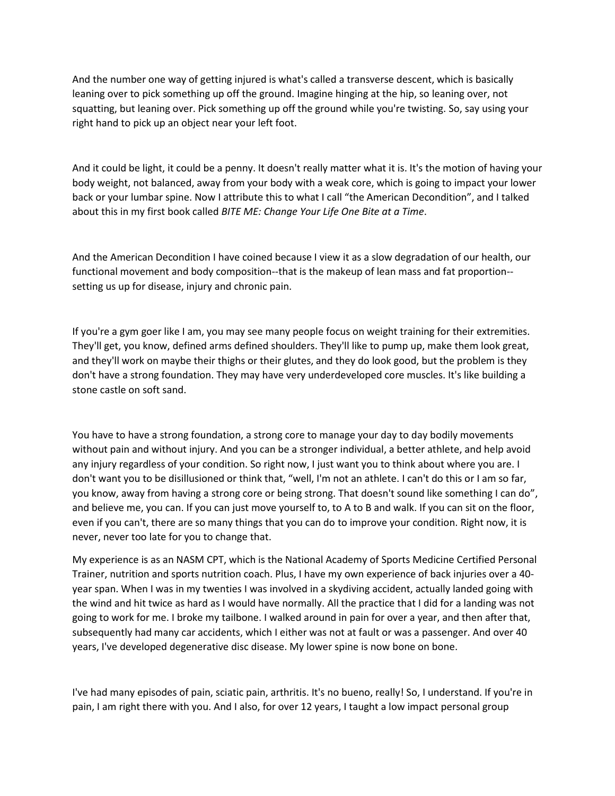And the number one way of getting injured is what's called a transverse descent, which is basically leaning over to pick something up off the ground. Imagine hinging at the hip, so leaning over, not squatting, but leaning over. Pick something up off the ground while you're twisting. So, say using your right hand to pick up an object near your left foot.

And it could be light, it could be a penny. It doesn't really matter what it is. It's the motion of having your body weight, not balanced, away from your body with a weak core, which is going to impact your lower back or your lumbar spine. Now I attribute this to what I call "the American Decondition", and I talked about this in my first book called *BITE ME: Change Your Life One Bite at a Time*.

And the American Decondition I have coined because I view it as a slow degradation of our health, our functional movement and body composition--that is the makeup of lean mass and fat proportion- setting us up for disease, injury and chronic pain.

If you're a gym goer like I am, you may see many people focus on weight training for their extremities. They'll get, you know, defined arms defined shoulders. They'll like to pump up, make them look great, and they'll work on maybe their thighs or their glutes, and they do look good, but the problem is they don't have a strong foundation. They may have very underdeveloped core muscles. It's like building a stone castle on soft sand.

You have to have a strong foundation, a strong core to manage your day to day bodily movements without pain and without injury. And you can be a stronger individual, a better athlete, and help avoid any injury regardless of your condition. So right now, I just want you to think about where you are. I don't want you to be disillusioned or think that, "well, I'm not an athlete. I can't do this or I am so far, you know, away from having a strong core or being strong. That doesn't sound like something I can do", and believe me, you can. If you can just move yourself to, to A to B and walk. If you can sit on the floor, even if you can't, there are so many things that you can do to improve your condition. Right now, it is never, never too late for you to change that.

My experience is as an NASM CPT, which is the National Academy of Sports Medicine Certified Personal Trainer, nutrition and sports nutrition coach. Plus, I have my own experience of back injuries over a 40 year span. When I was in my twenties I was involved in a skydiving accident, actually landed going with the wind and hit twice as hard as I would have normally. All the practice that I did for a landing was not going to work for me. I broke my tailbone. I walked around in pain for over a year, and then after that, subsequently had many car accidents, which I either was not at fault or was a passenger. And over 40 years, I've developed degenerative disc disease. My lower spine is now bone on bone.

I've had many episodes of pain, sciatic pain, arthritis. It's no bueno, really! So, I understand. If you're in pain, I am right there with you. And I also, for over 12 years, I taught a low impact personal group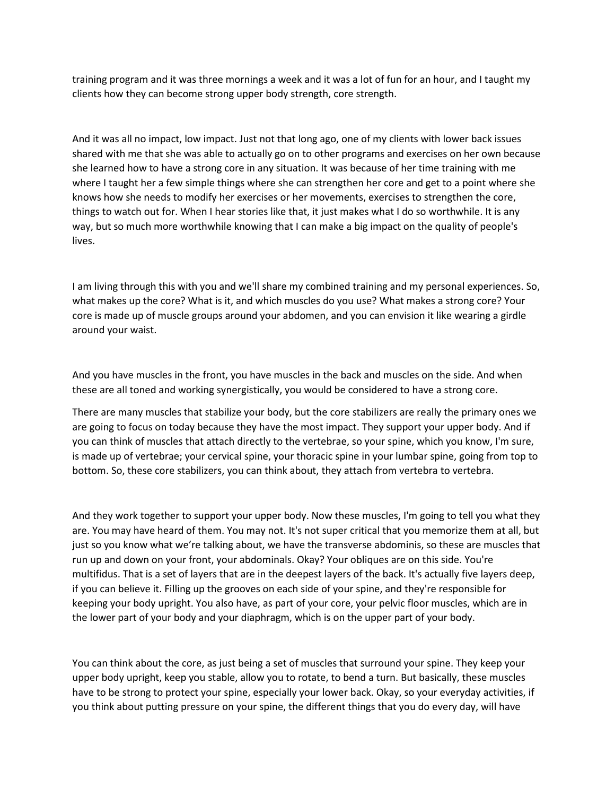training program and it was three mornings a week and it was a lot of fun for an hour, and I taught my clients how they can become strong upper body strength, core strength.

And it was all no impact, low impact. Just not that long ago, one of my clients with lower back issues shared with me that she was able to actually go on to other programs and exercises on her own because she learned how to have a strong core in any situation. It was because of her time training with me where I taught her a few simple things where she can strengthen her core and get to a point where she knows how she needs to modify her exercises or her movements, exercises to strengthen the core, things to watch out for. When I hear stories like that, it just makes what I do so worthwhile. It is any way, but so much more worthwhile knowing that I can make a big impact on the quality of people's lives.

I am living through this with you and we'll share my combined training and my personal experiences. So, what makes up the core? What is it, and which muscles do you use? What makes a strong core? Your core is made up of muscle groups around your abdomen, and you can envision it like wearing a girdle around your waist.

And you have muscles in the front, you have muscles in the back and muscles on the side. And when these are all toned and working synergistically, you would be considered to have a strong core.

There are many muscles that stabilize your body, but the core stabilizers are really the primary ones we are going to focus on today because they have the most impact. They support your upper body. And if you can think of muscles that attach directly to the vertebrae, so your spine, which you know, I'm sure, is made up of vertebrae; your cervical spine, your thoracic spine in your lumbar spine, going from top to bottom. So, these core stabilizers, you can think about, they attach from vertebra to vertebra.

And they work together to support your upper body. Now these muscles, I'm going to tell you what they are. You may have heard of them. You may not. It's not super critical that you memorize them at all, but just so you know what we're talking about, we have the transverse abdominis, so these are muscles that run up and down on your front, your abdominals. Okay? Your obliques are on this side. You're multifidus. That is a set of layers that are in the deepest layers of the back. It's actually five layers deep, if you can believe it. Filling up the grooves on each side of your spine, and they're responsible for keeping your body upright. You also have, as part of your core, your pelvic floor muscles, which are in the lower part of your body and your diaphragm, which is on the upper part of your body.

You can think about the core, as just being a set of muscles that surround your spine. They keep your upper body upright, keep you stable, allow you to rotate, to bend a turn. But basically, these muscles have to be strong to protect your spine, especially your lower back. Okay, so your everyday activities, if you think about putting pressure on your spine, the different things that you do every day, will have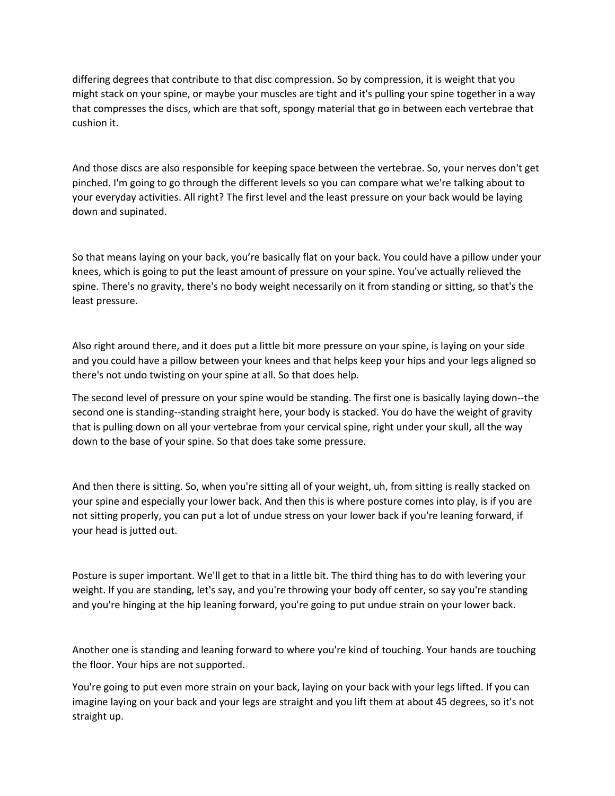differing degrees that contribute to that disc compression. So by compression, it is weight that you might stack on your spine, or maybe your muscles are tight and it's pulling your spine together in a way that compresses the discs, which are that soft, spongy material that go in between each vertebrae that cushion it.

And those discs are also responsible for keeping space between the vertebrae. So, your nerves don't get pinched. I'm going to go through the different levels so you can compare what we're talking about to your everyday activities. All right? The first level and the least pressure on your back would be laying down and supinated.

So that means laying on your back, you're basically flat on your back. You could have a pillow under your knees, which is going to put the least amount of pressure on your spine. You've actually relieved the spine. There's no gravity, there's no body weight necessarily on it from standing or sitting, so that's the least pressure.

Also right around there, and it does put a little bit more pressure on your spine, is laying on your side and you could have a pillow between your knees and that helps keep your hips and your legs aligned so there's not undo twisting on your spine at all. So that does help.

The second level of pressure on your spine would be standing. The first one is basically laying down--the second one is standing--standing straight here, your body is stacked. You do have the weight of gravity that is pulling down on all your vertebrae from your cervical spine, right under your skull, all the way down to the base of your spine. So that does take some pressure.

And then there is sitting. So, when you're sitting all of your weight, uh, from sitting is really stacked on your spine and especially your lower back. And then this is where posture comes into play, is if you are not sitting properly, you can put a lot of undue stress on your lower back if you're leaning forward, if your head is jutted out.

Posture is super important. We'll get to that in a little bit. The third thing has to do with levering your weight. If you are standing, let's say, and you're throwing your body off center, so say you're standing and you're hinging at the hip leaning forward, you're going to put undue strain on your lower back.

Another one is standing and leaning forward to where you're kind of touching. Your hands are touching the floor. Your hips are not supported.

You're going to put even more strain on your back, laying on your back with your legs lifted. If you can imagine laying on your back and your legs are straight and you lift them at about 45 degrees, so it's not straight up.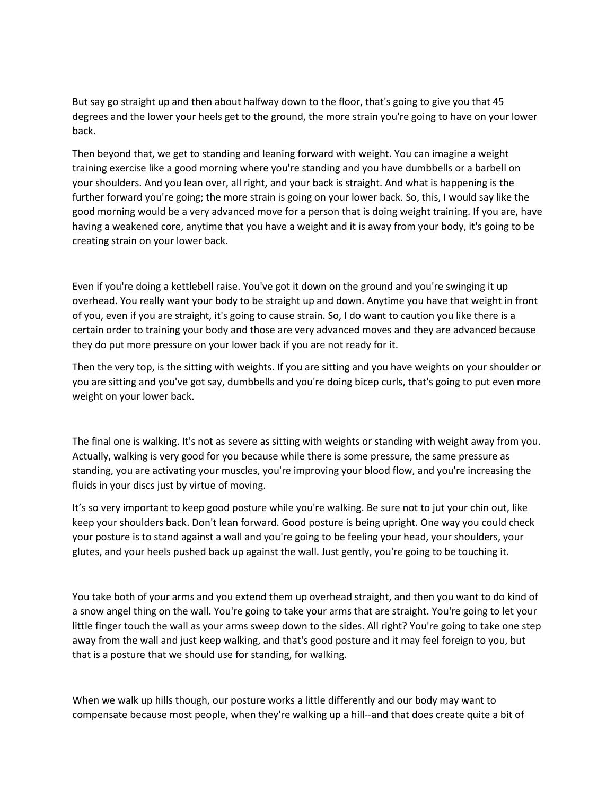But say go straight up and then about halfway down to the floor, that's going to give you that 45 degrees and the lower your heels get to the ground, the more strain you're going to have on your lower back.

Then beyond that, we get to standing and leaning forward with weight. You can imagine a weight training exercise like a good morning where you're standing and you have dumbbells or a barbell on your shoulders. And you lean over, all right, and your back is straight. And what is happening is the further forward you're going; the more strain is going on your lower back. So, this, I would say like the good morning would be a very advanced move for a person that is doing weight training. If you are, have having a weakened core, anytime that you have a weight and it is away from your body, it's going to be creating strain on your lower back.

Even if you're doing a kettlebell raise. You've got it down on the ground and you're swinging it up overhead. You really want your body to be straight up and down. Anytime you have that weight in front of you, even if you are straight, it's going to cause strain. So, I do want to caution you like there is a certain order to training your body and those are very advanced moves and they are advanced because they do put more pressure on your lower back if you are not ready for it.

Then the very top, is the sitting with weights. If you are sitting and you have weights on your shoulder or you are sitting and you've got say, dumbbells and you're doing bicep curls, that's going to put even more weight on your lower back.

The final one is walking. It's not as severe as sitting with weights or standing with weight away from you. Actually, walking is very good for you because while there is some pressure, the same pressure as standing, you are activating your muscles, you're improving your blood flow, and you're increasing the fluids in your discs just by virtue of moving.

It's so very important to keep good posture while you're walking. Be sure not to jut your chin out, like keep your shoulders back. Don't lean forward. Good posture is being upright. One way you could check your posture is to stand against a wall and you're going to be feeling your head, your shoulders, your glutes, and your heels pushed back up against the wall. Just gently, you're going to be touching it.

You take both of your arms and you extend them up overhead straight, and then you want to do kind of a snow angel thing on the wall. You're going to take your arms that are straight. You're going to let your little finger touch the wall as your arms sweep down to the sides. All right? You're going to take one step away from the wall and just keep walking, and that's good posture and it may feel foreign to you, but that is a posture that we should use for standing, for walking.

When we walk up hills though, our posture works a little differently and our body may want to compensate because most people, when they're walking up a hill--and that does create quite a bit of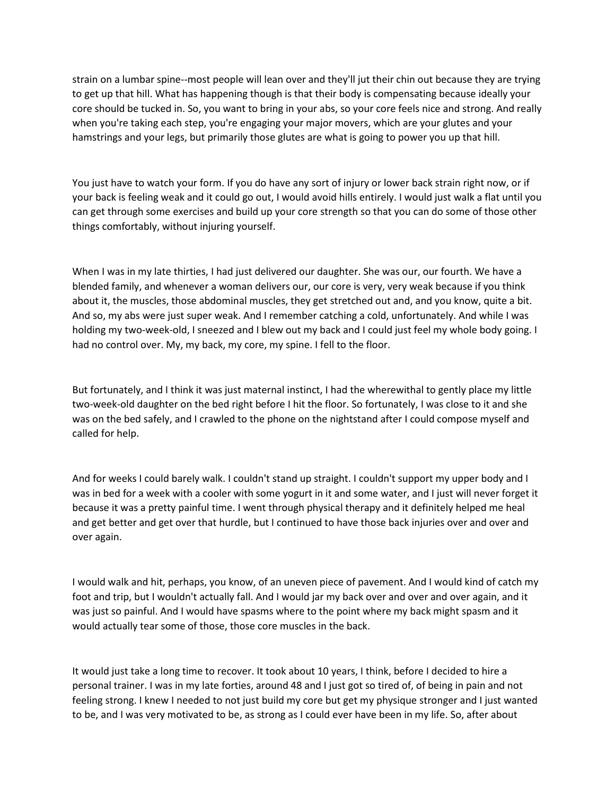strain on a lumbar spine--most people will lean over and they'll jut their chin out because they are trying to get up that hill. What has happening though is that their body is compensating because ideally your core should be tucked in. So, you want to bring in your abs, so your core feels nice and strong. And really when you're taking each step, you're engaging your major movers, which are your glutes and your hamstrings and your legs, but primarily those glutes are what is going to power you up that hill.

You just have to watch your form. If you do have any sort of injury or lower back strain right now, or if your back is feeling weak and it could go out, I would avoid hills entirely. I would just walk a flat until you can get through some exercises and build up your core strength so that you can do some of those other things comfortably, without injuring yourself.

When I was in my late thirties, I had just delivered our daughter. She was our, our fourth. We have a blended family, and whenever a woman delivers our, our core is very, very weak because if you think about it, the muscles, those abdominal muscles, they get stretched out and, and you know, quite a bit. And so, my abs were just super weak. And I remember catching a cold, unfortunately. And while I was holding my two-week-old, I sneezed and I blew out my back and I could just feel my whole body going. I had no control over. My, my back, my core, my spine. I fell to the floor.

But fortunately, and I think it was just maternal instinct, I had the wherewithal to gently place my little two-week-old daughter on the bed right before I hit the floor. So fortunately, I was close to it and she was on the bed safely, and I crawled to the phone on the nightstand after I could compose myself and called for help.

And for weeks I could barely walk. I couldn't stand up straight. I couldn't support my upper body and I was in bed for a week with a cooler with some yogurt in it and some water, and I just will never forget it because it was a pretty painful time. I went through physical therapy and it definitely helped me heal and get better and get over that hurdle, but I continued to have those back injuries over and over and over again.

I would walk and hit, perhaps, you know, of an uneven piece of pavement. And I would kind of catch my foot and trip, but I wouldn't actually fall. And I would jar my back over and over and over again, and it was just so painful. And I would have spasms where to the point where my back might spasm and it would actually tear some of those, those core muscles in the back.

It would just take a long time to recover. It took about 10 years, I think, before I decided to hire a personal trainer. I was in my late forties, around 48 and I just got so tired of, of being in pain and not feeling strong. I knew I needed to not just build my core but get my physique stronger and I just wanted to be, and I was very motivated to be, as strong as I could ever have been in my life. So, after about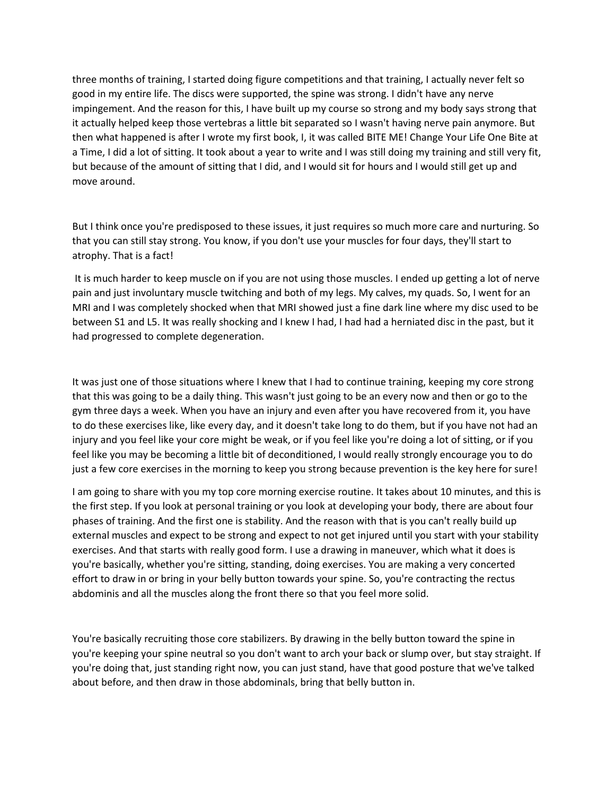three months of training, I started doing figure competitions and that training, I actually never felt so good in my entire life. The discs were supported, the spine was strong. I didn't have any nerve impingement. And the reason for this, I have built up my course so strong and my body says strong that it actually helped keep those vertebras a little bit separated so I wasn't having nerve pain anymore. But then what happened is after I wrote my first book, I, it was called BITE ME! Change Your Life One Bite at a Time, I did a lot of sitting. It took about a year to write and I was still doing my training and still very fit, but because of the amount of sitting that I did, and I would sit for hours and I would still get up and move around.

But I think once you're predisposed to these issues, it just requires so much more care and nurturing. So that you can still stay strong. You know, if you don't use your muscles for four days, they'll start to atrophy. That is a fact!

It is much harder to keep muscle on if you are not using those muscles. I ended up getting a lot of nerve pain and just involuntary muscle twitching and both of my legs. My calves, my quads. So, I went for an MRI and I was completely shocked when that MRI showed just a fine dark line where my disc used to be between S1 and L5. It was really shocking and I knew I had, I had had a herniated disc in the past, but it had progressed to complete degeneration.

It was just one of those situations where I knew that I had to continue training, keeping my core strong that this was going to be a daily thing. This wasn't just going to be an every now and then or go to the gym three days a week. When you have an injury and even after you have recovered from it, you have to do these exercises like, like every day, and it doesn't take long to do them, but if you have not had an injury and you feel like your core might be weak, or if you feel like you're doing a lot of sitting, or if you feel like you may be becoming a little bit of deconditioned, I would really strongly encourage you to do just a few core exercises in the morning to keep you strong because prevention is the key here for sure!

I am going to share with you my top core morning exercise routine. It takes about 10 minutes, and this is the first step. If you look at personal training or you look at developing your body, there are about four phases of training. And the first one is stability. And the reason with that is you can't really build up external muscles and expect to be strong and expect to not get injured until you start with your stability exercises. And that starts with really good form. I use a drawing in maneuver, which what it does is you're basically, whether you're sitting, standing, doing exercises. You are making a very concerted effort to draw in or bring in your belly button towards your spine. So, you're contracting the rectus abdominis and all the muscles along the front there so that you feel more solid.

You're basically recruiting those core stabilizers. By drawing in the belly button toward the spine in you're keeping your spine neutral so you don't want to arch your back or slump over, but stay straight. If you're doing that, just standing right now, you can just stand, have that good posture that we've talked about before, and then draw in those abdominals, bring that belly button in.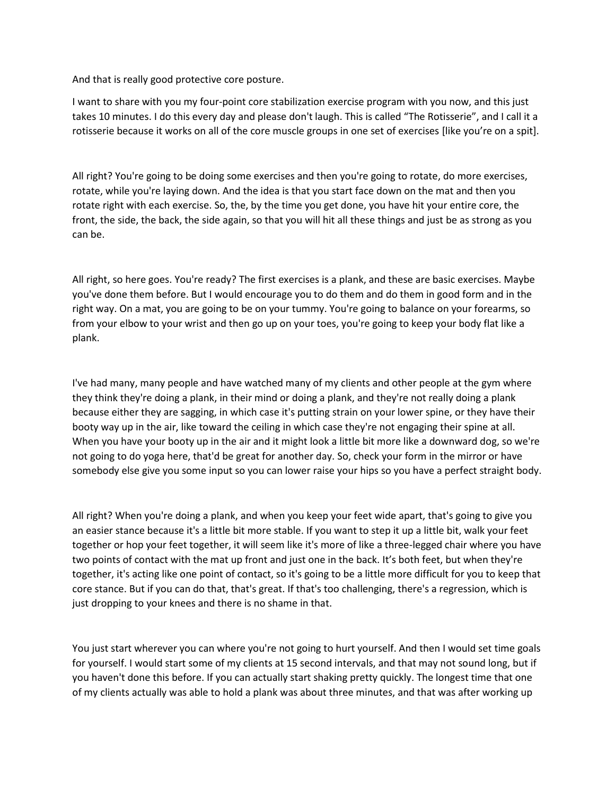And that is really good protective core posture.

I want to share with you my four-point core stabilization exercise program with you now, and this just takes 10 minutes. I do this every day and please don't laugh. This is called "The Rotisserie", and I call it a rotisserie because it works on all of the core muscle groups in one set of exercises [like you're on a spit].

All right? You're going to be doing some exercises and then you're going to rotate, do more exercises, rotate, while you're laying down. And the idea is that you start face down on the mat and then you rotate right with each exercise. So, the, by the time you get done, you have hit your entire core, the front, the side, the back, the side again, so that you will hit all these things and just be as strong as you can be.

All right, so here goes. You're ready? The first exercises is a plank, and these are basic exercises. Maybe you've done them before. But I would encourage you to do them and do them in good form and in the right way. On a mat, you are going to be on your tummy. You're going to balance on your forearms, so from your elbow to your wrist and then go up on your toes, you're going to keep your body flat like a plank.

I've had many, many people and have watched many of my clients and other people at the gym where they think they're doing a plank, in their mind or doing a plank, and they're not really doing a plank because either they are sagging, in which case it's putting strain on your lower spine, or they have their booty way up in the air, like toward the ceiling in which case they're not engaging their spine at all. When you have your booty up in the air and it might look a little bit more like a downward dog, so we're not going to do yoga here, that'd be great for another day. So, check your form in the mirror or have somebody else give you some input so you can lower raise your hips so you have a perfect straight body.

All right? When you're doing a plank, and when you keep your feet wide apart, that's going to give you an easier stance because it's a little bit more stable. If you want to step it up a little bit, walk your feet together or hop your feet together, it will seem like it's more of like a three-legged chair where you have two points of contact with the mat up front and just one in the back. It's both feet, but when they're together, it's acting like one point of contact, so it's going to be a little more difficult for you to keep that core stance. But if you can do that, that's great. If that's too challenging, there's a regression, which is just dropping to your knees and there is no shame in that.

You just start wherever you can where you're not going to hurt yourself. And then I would set time goals for yourself. I would start some of my clients at 15 second intervals, and that may not sound long, but if you haven't done this before. If you can actually start shaking pretty quickly. The longest time that one of my clients actually was able to hold a plank was about three minutes, and that was after working up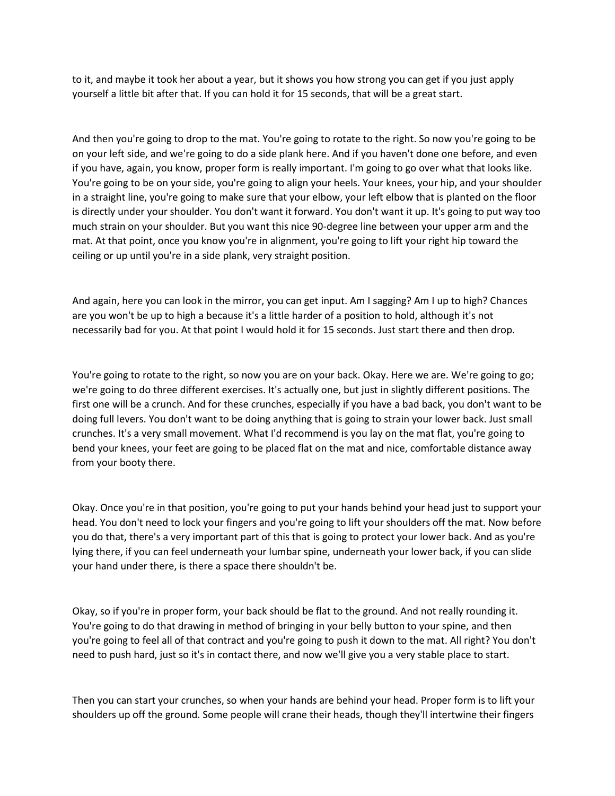to it, and maybe it took her about a year, but it shows you how strong you can get if you just apply yourself a little bit after that. If you can hold it for 15 seconds, that will be a great start.

And then you're going to drop to the mat. You're going to rotate to the right. So now you're going to be on your left side, and we're going to do a side plank here. And if you haven't done one before, and even if you have, again, you know, proper form is really important. I'm going to go over what that looks like. You're going to be on your side, you're going to align your heels. Your knees, your hip, and your shoulder in a straight line, you're going to make sure that your elbow, your left elbow that is planted on the floor is directly under your shoulder. You don't want it forward. You don't want it up. It's going to put way too much strain on your shoulder. But you want this nice 90-degree line between your upper arm and the mat. At that point, once you know you're in alignment, you're going to lift your right hip toward the ceiling or up until you're in a side plank, very straight position.

And again, here you can look in the mirror, you can get input. Am I sagging? Am I up to high? Chances are you won't be up to high a because it's a little harder of a position to hold, although it's not necessarily bad for you. At that point I would hold it for 15 seconds. Just start there and then drop.

You're going to rotate to the right, so now you are on your back. Okay. Here we are. We're going to go; we're going to do three different exercises. It's actually one, but just in slightly different positions. The first one will be a crunch. And for these crunches, especially if you have a bad back, you don't want to be doing full levers. You don't want to be doing anything that is going to strain your lower back. Just small crunches. It's a very small movement. What I'd recommend is you lay on the mat flat, you're going to bend your knees, your feet are going to be placed flat on the mat and nice, comfortable distance away from your booty there.

Okay. Once you're in that position, you're going to put your hands behind your head just to support your head. You don't need to lock your fingers and you're going to lift your shoulders off the mat. Now before you do that, there's a very important part of this that is going to protect your lower back. And as you're lying there, if you can feel underneath your lumbar spine, underneath your lower back, if you can slide your hand under there, is there a space there shouldn't be.

Okay, so if you're in proper form, your back should be flat to the ground. And not really rounding it. You're going to do that drawing in method of bringing in your belly button to your spine, and then you're going to feel all of that contract and you're going to push it down to the mat. All right? You don't need to push hard, just so it's in contact there, and now we'll give you a very stable place to start.

Then you can start your crunches, so when your hands are behind your head. Proper form is to lift your shoulders up off the ground. Some people will crane their heads, though they'll intertwine their fingers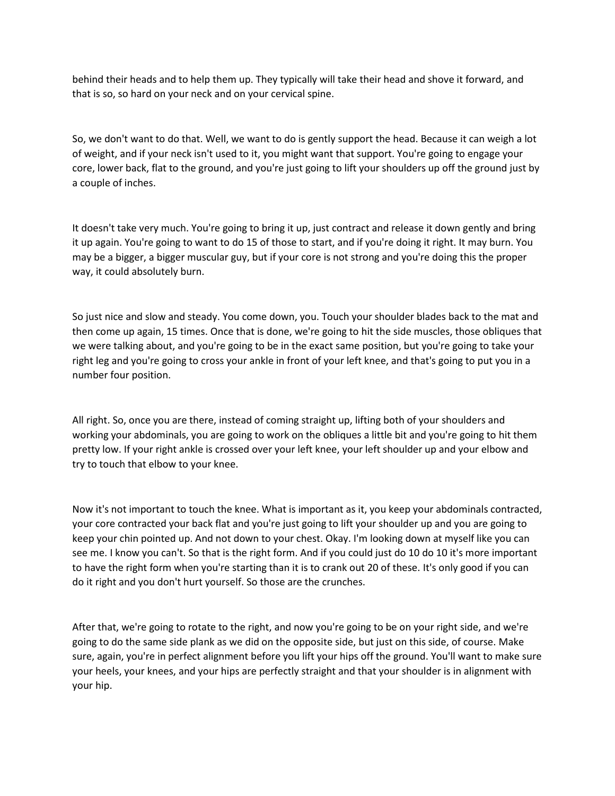behind their heads and to help them up. They typically will take their head and shove it forward, and that is so, so hard on your neck and on your cervical spine.

So, we don't want to do that. Well, we want to do is gently support the head. Because it can weigh a lot of weight, and if your neck isn't used to it, you might want that support. You're going to engage your core, lower back, flat to the ground, and you're just going to lift your shoulders up off the ground just by a couple of inches.

It doesn't take very much. You're going to bring it up, just contract and release it down gently and bring it up again. You're going to want to do 15 of those to start, and if you're doing it right. It may burn. You may be a bigger, a bigger muscular guy, but if your core is not strong and you're doing this the proper way, it could absolutely burn.

So just nice and slow and steady. You come down, you. Touch your shoulder blades back to the mat and then come up again, 15 times. Once that is done, we're going to hit the side muscles, those obliques that we were talking about, and you're going to be in the exact same position, but you're going to take your right leg and you're going to cross your ankle in front of your left knee, and that's going to put you in a number four position.

All right. So, once you are there, instead of coming straight up, lifting both of your shoulders and working your abdominals, you are going to work on the obliques a little bit and you're going to hit them pretty low. If your right ankle is crossed over your left knee, your left shoulder up and your elbow and try to touch that elbow to your knee.

Now it's not important to touch the knee. What is important as it, you keep your abdominals contracted, your core contracted your back flat and you're just going to lift your shoulder up and you are going to keep your chin pointed up. And not down to your chest. Okay. I'm looking down at myself like you can see me. I know you can't. So that is the right form. And if you could just do 10 do 10 it's more important to have the right form when you're starting than it is to crank out 20 of these. It's only good if you can do it right and you don't hurt yourself. So those are the crunches.

After that, we're going to rotate to the right, and now you're going to be on your right side, and we're going to do the same side plank as we did on the opposite side, but just on this side, of course. Make sure, again, you're in perfect alignment before you lift your hips off the ground. You'll want to make sure your heels, your knees, and your hips are perfectly straight and that your shoulder is in alignment with your hip.